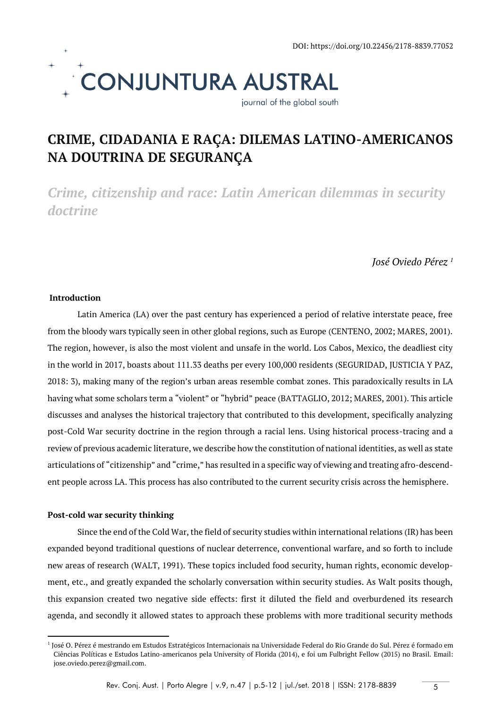

# **CRIME, CIDADANIA E RAÇA: DILEMAS LATINO-AMERICANOS NA DOUTRINA DE SEGURANÇA**

*Crime, citizenship and race: Latin American dilemmas in security doctrine*

*José Oviedo Pérez <sup>1</sup>*

## **Introduction**

Latin America (LA) over the past century has experienced a period of relative interstate peace, free from the bloody wars typically seen in other global regions, such as Europe (CENTENO, 2002; MARES, 2001). The region, however, is also the most violent and unsafe in the world. Los Cabos, Mexico, the deadliest city in the world in 2017, boasts about 111.33 deaths per every 100,000 residents (SEGURIDAD, JUSTICIA Y PAZ, 2018: 3), making many of the region's urban areas resemble combat zones. This paradoxically results in LA having what some scholars term a "violent" or "hybrid" peace (BATTAGLIO, 2012; MARES, 2001). This article discusses and analyses the historical trajectory that contributed to this development, specifically analyzing post-Cold War security doctrine in the region through a racial lens. Using historical process-tracing and a review of previous academic literature, we describe how the constitution of national identities, as well as state articulations of "citizenship" and "crime," has resulted in a specific way of viewing and treating afro-descendent people across LA. This process has also contributed to the current security crisis across the hemisphere.

## **Post-cold war security thinking**

1

Since the end of the Cold War, the field of security studies within international relations (IR) has been expanded beyond traditional questions of nuclear deterrence, conventional warfare, and so forth to include new areas of research (WALT, 1991). These topics included food security, human rights, economic development, etc., and greatly expanded the scholarly conversation within security studies. As Walt posits though, this expansion created two negative side effects: first it diluted the field and overburdened its research agenda, and secondly it allowed states to approach these problems with more traditional security methods

<sup>&</sup>lt;sup>1</sup> José O. Pérez é mestrando em Estudos Estratégicos Internacionais na Universidade Federal do Rio Grande do Sul. Pérez é formado em Ciências Políticas e Estudos Latino-americanos pela University of Florida (2014), e foi um Fulbright Fellow (2015) no Brasil. Email: jose.oviedo.perez@gmail.com.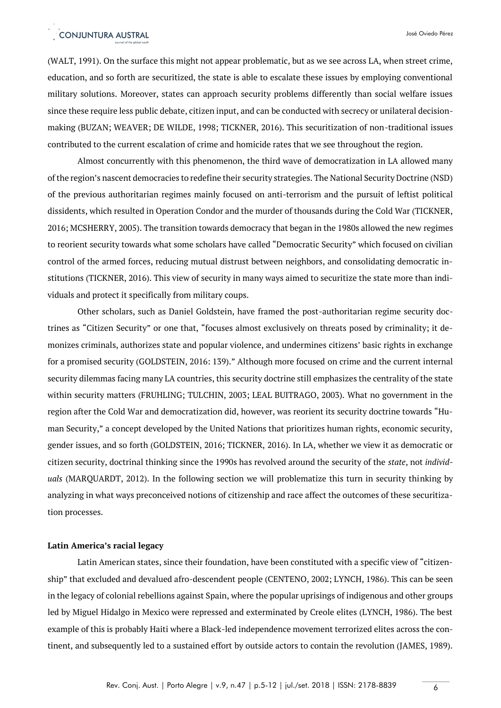# CONJUNTURA AUSTRAL

(WALT, 1991). On the surface this might not appear problematic, but as we see across LA, when street crime, education, and so forth are securitized, the state is able to escalate these issues by employing conventional military solutions. Moreover, states can approach security problems differently than social welfare issues since these require less public debate, citizen input, and can be conducted with secrecy or unilateral decisionmaking (BUZAN; WEAVER; DE WILDE, 1998; TICKNER, 2016). This securitization of non-traditional issues contributed to the current escalation of crime and homicide rates that we see throughout the region.

Almost concurrently with this phenomenon, the third wave of democratization in LA allowed many of the region's nascent democracies to redefine their security strategies. The National Security Doctrine (NSD) of the previous authoritarian regimes mainly focused on anti-terrorism and the pursuit of leftist political dissidents, which resulted in Operation Condor and the murder of thousands during the Cold War (TICKNER, 2016; MCSHERRY, 2005). The transition towards democracy that began in the 1980s allowed the new regimes to reorient security towards what some scholars have called "Democratic Security" which focused on civilian control of the armed forces, reducing mutual distrust between neighbors, and consolidating democratic institutions (TICKNER, 2016). This view of security in many ways aimed to securitize the state more than individuals and protect it specifically from military coups.

Other scholars, such as Daniel Goldstein, have framed the post-authoritarian regime security doctrines as "Citizen Security" or one that, "focuses almost exclusively on threats posed by criminality; it demonizes criminals, authorizes state and popular violence, and undermines citizens' basic rights in exchange for a promised security (GOLDSTEIN, 2016: 139)." Although more focused on crime and the current internal security dilemmas facing many LA countries, this security doctrine still emphasizes the centrality of the state within security matters (FRUHLING; TULCHIN, 2003; LEAL BUITRAGO, 2003). What no government in the region after the Cold War and democratization did, however, was reorient its security doctrine towards "Human Security," a concept developed by the United Nations that prioritizes human rights, economic security, gender issues, and so forth (GOLDSTEIN, 2016; TICKNER, 2016). In LA, whether we view it as democratic or citizen security, doctrinal thinking since the 1990s has revolved around the security of the *state*, not *individuals* (MARQUARDT, 2012). In the following section we will problematize this turn in security thinking by analyzing in what ways preconceived notions of citizenship and race affect the outcomes of these securitization processes.

### **Latin America's racial legacy**

Latin American states, since their foundation, have been constituted with a specific view of "citizenship" that excluded and devalued afro-descendent people (CENTENO, 2002; LYNCH, 1986). This can be seen in the legacy of colonial rebellions against Spain, where the popular uprisings of indigenous and other groups led by Miguel Hidalgo in Mexico were repressed and exterminated by Creole elites (LYNCH, 1986). The best example of this is probably Haiti where a Black-led independence movement terrorized elites across the continent, and subsequently led to a sustained effort by outside actors to contain the revolution (JAMES, 1989).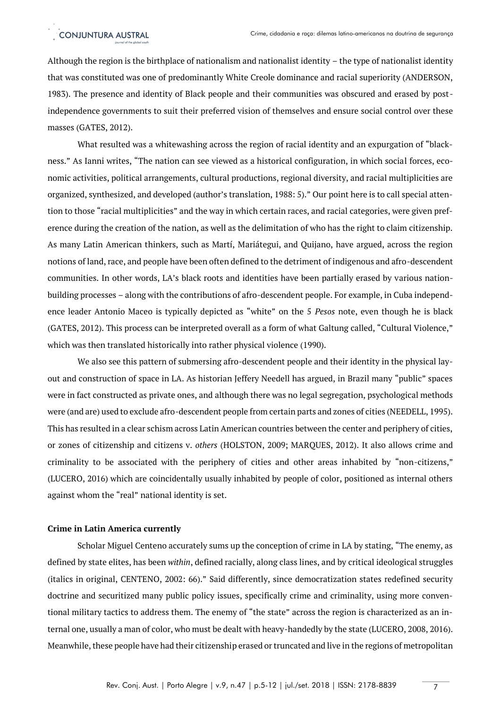Although the region is the birthplace of nationalism and nationalist identity – the type of nationalist identity that was constituted was one of predominantly White Creole dominance and racial superiority (ANDERSON, 1983). The presence and identity of Black people and their communities was obscured and erased by postindependence governments to suit their preferred vision of themselves and ensure social control over these masses (GATES, 2012).

What resulted was a whitewashing across the region of racial identity and an expurgation of "blackness." As Ianni writes, "The nation can see viewed as a historical configuration, in which social forces, economic activities, political arrangements, cultural productions, regional diversity, and racial multiplicities are organized, synthesized, and developed (author's translation, 1988: 5)." Our point here is to call special attention to those "racial multiplicities" and the way in which certain races, and racial categories, were given preference during the creation of the nation, as well as the delimitation of who has the right to claim citizenship. As many Latin American thinkers, such as Martí, Mariátegui, and Quijano, have argued, across the region notions of land, race, and people have been often defined to the detriment of indigenous and afro-descendent communities. In other words, LA's black roots and identities have been partially erased by various nationbuilding processes – along with the contributions of afro-descendent people. For example, in Cuba independence leader Antonio Maceo is typically depicted as "white" on the 5 *Pesos* note, even though he is black (GATES, 2012). This process can be interpreted overall as a form of what Galtung called, "Cultural Violence," which was then translated historically into rather physical violence (1990).

We also see this pattern of submersing afro-descendent people and their identity in the physical layout and construction of space in LA. As historian Jeffery Needell has argued, in Brazil many "public" spaces were in fact constructed as private ones, and although there was no legal segregation, psychological methods were (and are) used to exclude afro-descendent people from certain parts and zones of cities (NEEDELL, 1995). This has resulted in a clear schism across Latin American countries between the center and periphery of cities, or zones of citizenship and citizens v. *others* (HOLSTON, 2009; MARQUES, 2012). It also allows crime and criminality to be associated with the periphery of cities and other areas inhabited by "non-citizens," (LUCERO, 2016) which are coincidentally usually inhabited by people of color, positioned as internal others against whom the "real" national identity is set.

## **Crime in Latin America currently**

Scholar Miguel Centeno accurately sums up the conception of crime in LA by stating, "The enemy, as defined by state elites, has been *within*, defined racially, along class lines, and by critical ideological struggles (italics in original, CENTENO, 2002: 66)." Said differently, since democratization states redefined security doctrine and securitized many public policy issues, specifically crime and criminality, using more conventional military tactics to address them. The enemy of "the state" across the region is characterized as an internal one, usually a man of color, who must be dealt with heavy-handedly by the state (LUCERO, 2008, 2016). Meanwhile, these people have had their citizenship erased or truncated and live in the regions of metropolitan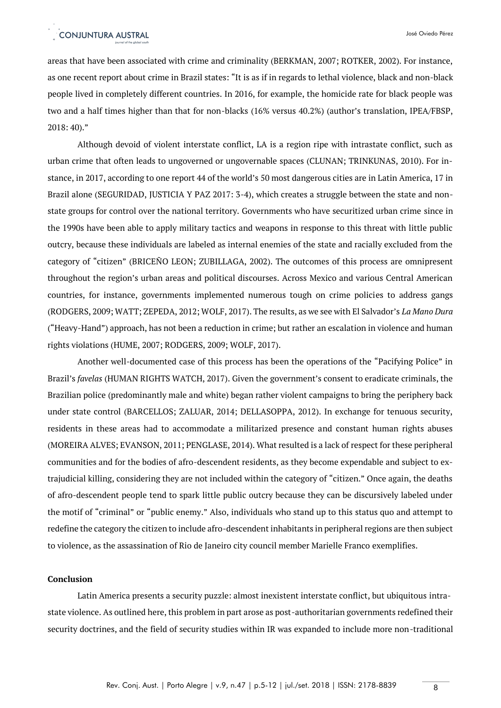areas that have been associated with crime and criminality (BERKMAN, 2007; ROTKER, 2002). For instance, as one recent report about crime in Brazil states: "It is as if in regards to lethal violence, black and non-black people lived in completely different countries. In 2016, for example, the homicide rate for black people was two and a half times higher than that for non-blacks (16% versus 40.2%) (author's translation, IPEA/FBSP,  $2018:40$ ."

Although devoid of violent interstate conflict, LA is a region ripe with intrastate conflict, such as urban crime that often leads to ungoverned or ungovernable spaces (CLUNAN; TRINKUNAS, 2010). For instance, in 2017, according to one report 44 of the world's 50 most dangerous cities are in Latin America, 17 in Brazil alone (SEGURIDAD, JUSTICIA Y PAZ 2017: 3-4), which creates a struggle between the state and nonstate groups for control over the national territory. Governments who have securitized urban crime since in the 1990s have been able to apply military tactics and weapons in response to this threat with little public outcry, because these individuals are labeled as internal enemies of the state and racially excluded from the category of "citizen" (BRICEÑO LEON; ZUBILLAGA, 2002). The outcomes of this process are omnipresent throughout the region's urban areas and political discourses. Across Mexico and various Central American countries, for instance, governments implemented numerous tough on crime policies to address gangs (RODGERS, 2009; WATT; ZEPEDA, 2012; WOLF, 2017). The results, as we see with El Salvador's *La Mano Dura* ("Heavy-Hand") approach, has not been a reduction in crime; but rather an escalation in violence and human rights violations (HUME, 2007; RODGERS, 2009; WOLF, 2017).

Another well-documented case of this process has been the operations of the "Pacifying Police" in Brazil's *favelas* (HUMAN RIGHTS WATCH, 2017). Given the government's consent to eradicate criminals, the Brazilian police (predominantly male and white) began rather violent campaigns to bring the periphery back under state control (BARCELLOS; ZALUAR, 2014; DELLASOPPA, 2012). In exchange for tenuous security, residents in these areas had to accommodate a militarized presence and constant human rights abuses (MOREIRA ALVES; EVANSON, 2011; PENGLASE, 2014). What resulted is a lack of respect for these peripheral communities and for the bodies of afro-descendent residents, as they become expendable and subject to extrajudicial killing, considering they are not included within the category of "citizen." Once again, the deaths of afro-descendent people tend to spark little public outcry because they can be discursively labeled under the motif of "criminal" or "public enemy." Also, individuals who stand up to this status quo and attempt to redefine the category the citizen to include afro-descendent inhabitants in peripheral regions are then subject to violence, as the assassination of Rio de Janeiro city council member Marielle Franco exemplifies.

### **Conclusion**

Latin America presents a security puzzle: almost inexistent interstate conflict, but ubiquitous intrastate violence. As outlined here, this problem in part arose as post-authoritarian governments redefined their security doctrines, and the field of security studies within IR was expanded to include more non-traditional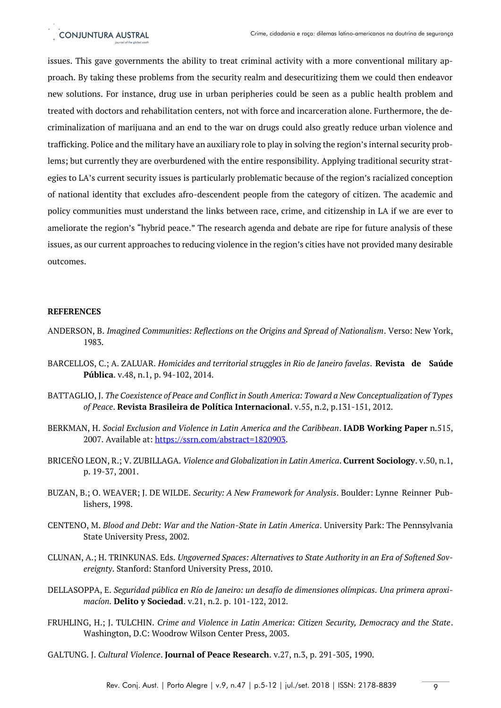issues. This gave governments the ability to treat criminal activity with a more conventional military approach. By taking these problems from the security realm and desecuritizing them we could then endeavor new solutions. For instance, drug use in urban peripheries could be seen as a public health problem and treated with doctors and rehabilitation centers, not with force and incarceration alone. Furthermore, the decriminalization of marijuana and an end to the war on drugs could also greatly reduce urban violence and trafficking. Police and the military have an auxiliary role to play in solving the region's internal security problems; but currently they are overburdened with the entire responsibility. Applying traditional security strategies to LA's current security issues is particularly problematic because of the region's racialized conception of national identity that excludes afro-descendent people from the category of citizen. The academic and policy communities must understand the links between race, crime, and citizenship in LA if we are ever to ameliorate the region's "hybrid peace." The research agenda and debate are ripe for future analysis of these issues, as our current approaches to reducing violence in the region's cities have not provided many desirable outcomes.

## **REFERENCES**

- ANDERSON, B. *Imagined Communities: Reflections on the Origins and Spread of Nationalism*. Verso: New York, 1983.
- BARCELLOS, C.; A. ZALUAR. *Homicides and territorial struggles in Rio de Janeiro favelas*. **Revista de Saúde Pública**. v.48, n.1, p. 94-102, 2014.
- BATTAGLIO, J. *The Coexistence of Peace and Conflict in South America: Toward a New Conceptualization of Types of Peace*. **Revista Brasileira de Política Internacional**. v.55, n.2, p.131-151, 2012.
- BERKMAN, H. *Social Exclusion and Violence in Latin America and the Caribbean*. **IADB Working Paper** n.515, 2007. Available at: [https://ssrn.com/abstract=1820903.](https://ssrn.com/abstract=1820903)
- BRICEÑO LEON, R.; V. ZUBILLAGA. *Violence and Globalization in Latin America*. **Current Sociology**. v.50, n.1, p. 19-37, 2001.
- BUZAN, B.; O. WEAVER; J. DE WILDE. *Security: A New Framework for Analysis*. Boulder: Lynne Reinner Publishers, 1998.
- CENTENO, M. *Blood and Debt: War and the Nation-State in Latin America*. University Park: The Pennsylvania State University Press, 2002.
- CLUNAN, A.; H. TRINKUNAS. Eds. *Ungoverned Spaces: Alternatives to State Authority in an Era of Softened Sovereignty*. Stanford: Stanford University Press, 2010.
- DELLASOPPA, E. *Seguridad pública en Río de Janeiro: un desafío de dimensiones olímpicas. Una primera aproximacíon.* **Delito y Sociedad**. v.21, n.2. p. 101-122, 2012.
- FRUHLING, H.; J. TULCHIN. *Crime and Violence in Latin America: Citizen Security, Democracy and the State*. Washington, D.C: Woodrow Wilson Center Press, 2003.
- GALTUNG. J. *Cultural Violence*. **Journal of Peace Research**. v.27, n.3, p. 291-305, 1990.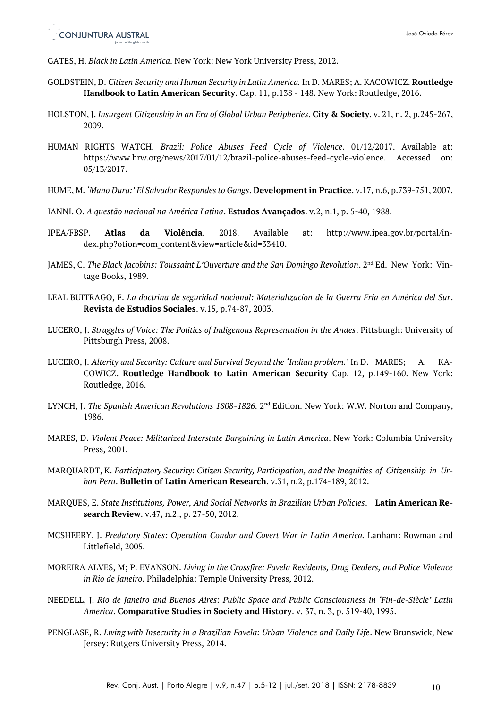GATES, H. *Black in Latin America*. New York: New York University Press, 2012.

- GOLDSTEIN, D. *Citizen Security and Human Security in Latin America.* In D. MARES; A. KACOWICZ. **Routledge Handbook to Latin American Security**. Cap. 11, p.138 - 148. New York: Routledge, 2016.
- HOLSTON, J. *Insurgent Citizenship in an Era of Global Urban Peripheries*. **City & Society**. v. 21, n. 2, p.245-267, 2009.
- HUMAN RIGHTS WATCH. *Brazil: Police Abuses Feed Cycle of Violence*. 01/12/2017. Available at: https://www.hrw.org/news/2017/01/12/brazil-police-abuses-feed-cycle-violence. Accessed on: 05/13/2017.
- HUME, M. *'Mano Dura:' El Salvador Respondes to Gangs*. **Development in Practice**. v.17, n.6, p.739-751, 2007.
- IANNI. O. *A questão nacional na América Latina*. **Estudos Avançados**. v.2, n.1, p. 5-40, 1988.
- IPEA/FBSP. **Atlas da Violência**. 2018. Available at: http://www.ipea.gov.br/portal/index.php?otion=com\_content&view=article&id=33410.
- JAMES, C. *The Black Jacobins: Toussaint L'Ouverture and the San Domingo Revolution.* 2<sup>nd</sup> Ed. New York: Vintage Books, 1989.
- LEAL BUITRAGO, F. *La doctrina de seguridad nacional: Materializacíon de la Guerra Fria en América del Sur*. **Revista de Estudios Sociales**. v.15, p.74-87, 2003.
- LUCERO, J. *Struggles of Voice: The Politics of Indigenous Representation in the Andes*. Pittsburgh: University of Pittsburgh Press, 2008.
- LUCERO, J. *Alterity and Security: Culture and Survival Beyond the 'Indian problem.'* In D. MARES; A. KA-COWICZ. **Routledge Handbook to Latin American Security** Cap. 12, p.149-160. New York: Routledge, 2016.
- LYNCH, J. *The Spanish American Revolutions 1808-1826*. 2<sup>nd</sup> Edition. New York: W.W. Norton and Company, 1986.
- MARES, D. *Violent Peace: Militarized Interstate Bargaining in Latin America*. New York: Columbia University Press, 2001.
- MARQUARDT, K. *Participatory Security: Citizen Security, Participation, and the Inequities of Citizenship in Urban Peru*. **Bulletin of Latin American Research**. v.31, n.2, p.174-189, 2012.
- MARQUES, E. *State Institutions, Power, And Social Networks in Brazilian Urban Policies*. **Latin American Research Review**. v.47, n.2., p. 27-50, 2012.
- MCSHEERY, J. *Predatory States: Operation Condor and Covert War in Latin America.* Lanham: Rowman and Littlefield, 2005.
- MOREIRA ALVES, M; P. EVANSON. *Living in the Crossfire: Favela Residents, Drug Dealers, and Police Violence in Rio de Janeiro*. Philadelphia: Temple University Press, 2012.
- NEEDELL, J. *Rio de Janeiro and Buenos Aires: Public Space and Public Consciousness in 'Fin-de-Siècle' Latin America*. **Comparative Studies in Society and History**. v. 37, n. 3, p. 519-40, 1995.
- PENGLASE, R. *Living with Insecurity in a Brazilian Favela: Urban Violence and Daily Life*. New Brunswick, New Jersey: Rutgers University Press, 2014.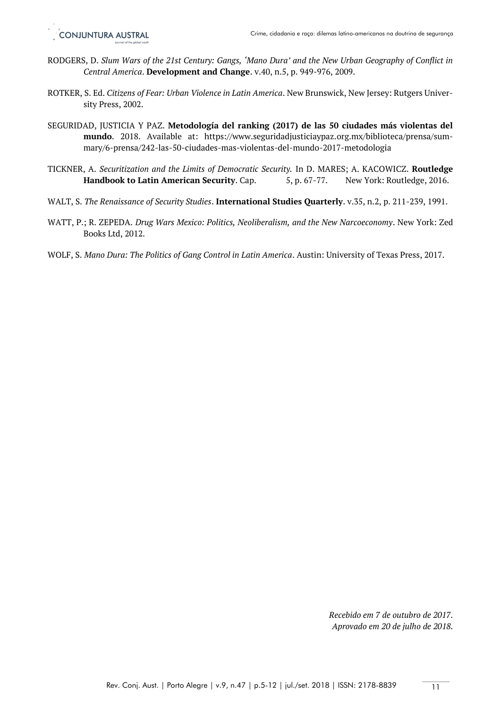- RODGERS, D. *Slum Wars of the 21st Century: Gangs, 'Mano Dura' and the New Urban Geography of Conflict in Central America*. **Development and Change**. v.40, n.5, p. 949-976, 2009.
- ROTKER, S. Ed. *Citizens of Fear: Urban Violence in Latin America*. New Brunswick, New Jersey: Rutgers University Press, 2002.
- SEGURIDAD, JUSTICIA Y PAZ. **Metodología del ranking (2017) de las 50 ciudades más violentas del mundo**. 2018. Available at: https://www.seguridadjusticiaypaz.org.mx/biblioteca/prensa/summary/6-prensa/242-las-50-ciudades-mas-violentas-del-mundo-2017-metodologia
- TICKNER, A. *Securitization and the Limits of Democratic Security.* In D. MARES; A. KACOWICZ. **Routledge Handbook to Latin American Security**. Cap. 5, p. 67-77. New York: Routledge, 2016.
- WALT, S. *The Renaissance of Security Studies*. **International Studies Quarterly**. v.35, n.2, p. 211-239, 1991.
- WATT, P.; R. ZEPEDA. *Drug Wars Mexico: Politics, Neoliberalism, and the New Narcoeconomy*. New York: Zed Books Ltd, 2012.
- WOLF, S. *Mano Dura: The Politics of Gang Control in Latin America*. Austin: University of Texas Press, 2017.

*Recebido em 7 de outubro de 2017. Aprovado em 20 de julho de 2018.*